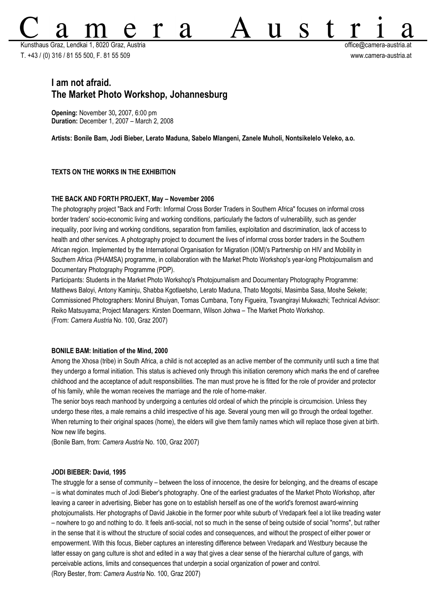Kunsthaus Graz, Lendkai 1, 8020 Graz, Austria office@camera-austria.at T. +43 / (0) 316 / 81 55 500, F. 81 55 509 www.camera-austria.at

S

U

# **I am not afraid. The Market Photo Workshop, Johannesburg**

**Opening:** November 30**,** 2007, 6:00 pm **Duration:** December 1, 2007 – March 2, 2008

**Artists: Bonile Bam, Jodi Bieber, Lerato Maduna, Sabelo Mlangeni, Zanele Muholi, Nontsikelelo Veleko, a.o.**

**d** 

# **TEXTS ON THE WORKS IN THE EXHIBITION**

#### **THE BACK AND FORTH PROJEKT, May – November 2006**

The photography project "Back and Forth: Informal Cross Border Traders in Southern Africa" focuses on informal cross border traders' socio-economic living and working conditions, particularly the factors of vulnerability, such as gender inequality, poor living and working conditions, separation from families, exploitation and discrimination, lack of access to health and other services. A photography project to document the lives of informal cross border traders in the Southern African region. Implemented by the International Organisation for Migration (IOM)'s Partnership on HIV and Mobility in Southern Africa (PHAMSA) programme, in collaboration with the Market Photo Workshop's year-long Photojournalism and Documentary Photography Programme (PDP).

Participants: Students in the Market Photo Workshop's Photojournalism and Documentary Photography Programme: Matthews Baloyi, Antony Kaminju, Shabba Kgotlaetsho, Lerato Maduna, Thato Mogotsi, Masimba Sasa, Moshe Sekete; Commissioned Photographers: Monirul Bhuiyan, Tomas Cumbana, Tony Figueira, Tsvangirayi Mukwazhi; Technical Advisor: Reiko Matsuyama; Project Managers: Kirsten Doermann, Wilson Johwa – The Market Photo Workshop. (From: *Camera Austria* No. 100, Graz 2007)

#### **BONILE BAM: Initiation of the Mind, 2000**

Among the Xhosa (tribe) in South Africa, a child is not accepted as an active member of the community until such a time that they undergo a formal initiation. This status is achieved only through this initiation ceremony which marks the end of carefree childhood and the acceptance of adult responsibilities. The man must prove he is fitted for the role of provider and protector of his family, while the woman receives the marriage and the role of home-maker.

The senior boys reach manhood by undergoing a centuries old ordeal of which the principle is circumcision. Unless they undergo these rites, a male remains a child irrespective of his age. Several young men will go through the ordeal together. When returning to their original spaces (home), the elders will give them family names which will replace those given at birth. Now new life begins.

(Bonile Bam, from: *Camera Austria* No. 100, Graz 2007)

#### **JODI BIEBER: David, 1995**

The struggle for a sense of community – between the loss of innocence, the desire for belonging, and the dreams of escape – is what dominates much of Jodi Bieber's photography. One of the earliest graduates of the Market Photo Workshop, after leaving a career in advertising, Bieber has gone on to establish herself as one of the world's foremost award-winning photojournalists. Her photographs of David Jakobie in the former poor white suburb of Vredapark feel a lot like treading water – nowhere to go and nothing to do. It feels anti-social, not so much in the sense of being outside of social "norms", but rather in the sense that it is without the structure of social codes and consequences, and without the prospect of either power or empowerment. With this focus, Bieber captures an interesting difference between Vredapark and Westbury because the latter essay on gang culture is shot and edited in a way that gives a clear sense of the hierarchal culture of gangs, with perceivable actions, limits and consequences that underpin a social organization of power and control. (Rory Bester, from: *Camera Austria* No. 100, Graz 2007)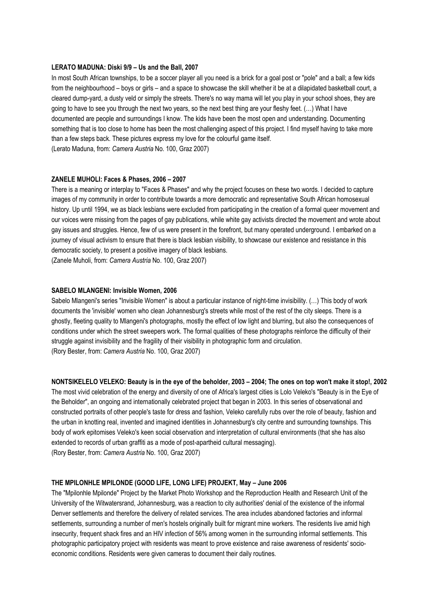### **LERATO MADUNA: Diski 9/9 – Us and the Ball, 2007**

In most South African townships, to be a soccer player all you need is a brick for a goal post or "pole" and a ball; a few kids from the neighbourhood – boys or girls – and a space to showcase the skill whether it be at a dilapidated basketball court, a cleared dump-yard, a dusty veld or simply the streets. There's no way mama will let you play in your school shoes, they are going to have to see you through the next two years, so the next best thing are your fleshy feet. (…) What I have documented are people and surroundings I know. The kids have been the most open and understanding. Documenting something that is too close to home has been the most challenging aspect of this project. I find myself having to take more than a few steps back. These pictures express my love for the colourful game itself. (Lerato Maduna, from: *Camera Austria* No. 100, Graz 2007)

### **ZANELE MUHOLI: Faces & Phases, 2006 – 2007**

There is a meaning or interplay to "Faces & Phases" and why the project focuses on these two words. I decided to capture images of my community in order to contribute towards a more democratic and representative South African homosexual history. Up until 1994, we as black lesbians were excluded from participating in the creation of a formal queer movement and our voices were missing from the pages of gay publications, while white gay activists directed the movement and wrote about gay issues and struggles. Hence, few of us were present in the forefront, but many operated underground. I embarked on a journey of visual activism to ensure that there is black lesbian visibility, to showcase our existence and resistance in this democratic society, to present a positive imagery of black lesbians.

(Zanele Muholi, from: *Camera Austria* No. 100, Graz 2007)

#### **SABELO MLANGENI: Invisible Women, 2006**

Sabelo Mlangeni's series "Invisible Women" is about a particular instance of night-time invisibility. (…) This body of work documents the 'invisible' women who clean Johannesburg's streets while most of the rest of the city sleeps. There is a ghostly, fleeting quality to Mlangeni's photographs, mostly the effect of low light and blurring, but also the consequences of conditions under which the street sweepers work. The formal qualities of these photographs reinforce the difficulty of their struggle against invisibility and the fragility of their visibility in photographic form and circulation. (Rory Bester, from: *Camera Austria* No. 100, Graz 2007)

**NONTSIKELELO VELEKO: Beauty is in the eye of the beholder, 2003 – 2004; The ones on top won't make it stop!, 2002**

The most vivid celebration of the energy and diversity of one of Africa's largest cities is Lolo Veleko's "Beauty is in the Eye of the Beholder", an ongoing and internationally celebrated project that began in 2003. In this series of observational and constructed portraits of other people's taste for dress and fashion, Veleko carefully rubs over the role of beauty, fashion and the urban in knotting real, invented and imagined identities in Johannesburg's city centre and surrounding townships. This body of work epitomises Veleko's keen social observation and interpretation of cultural environments (that she has also extended to records of urban graffiti as a mode of post-apartheid cultural messaging). (Rory Bester, from: *Camera Austria* No. 100, Graz 2007)

### **THE MPILONHLE MPILONDE (GOOD LIFE, LONG LIFE) PROJEKT, May – June 2006**

The "Mpilonhle Mpilonde" Project by the Market Photo Workshop and the Reproduction Health and Research Unit of the University of the Witwatersrand, Johannesburg, was a reaction to city authorities' denial of the existence of the informal Denver settlements and therefore the delivery of related services. The area includes abandoned factories and informal settlements, surrounding a number of men's hostels originally built for migrant mine workers. The residents live amid high insecurity, frequent shack fires and an HIV infection of 56% among women in the surrounding informal settlements. This photographic participatory project with residents was meant to prove existence and raise awareness of residents' socioeconomic conditions. Residents were given cameras to document their daily routines.